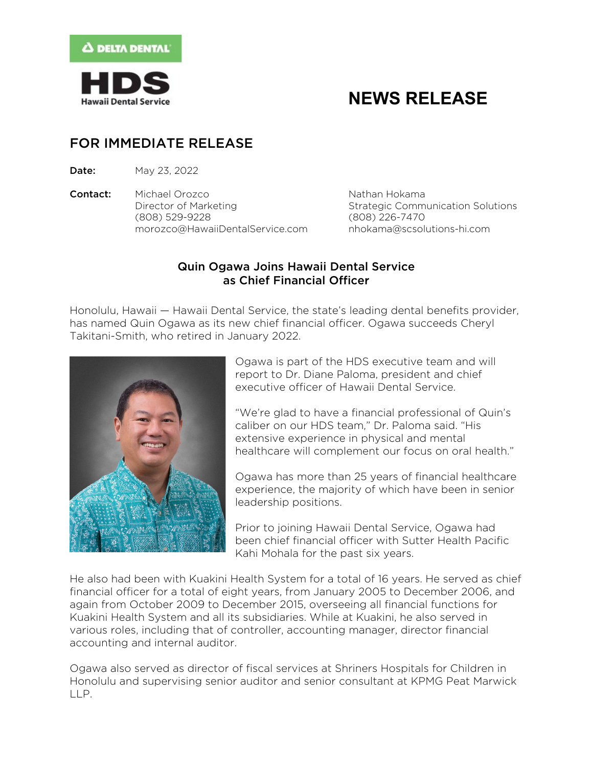

# **NEWS RELEASE**

### FOR IMMEDIATE RELEASE

**Date:** May 23, 2022

**Contact:** Michael Orozco Nathan Hokama Director of Marketing Theorem Strategic Communication Solutions (808) 529-9228 (808) 226-7470 [morozco@HawaiiDentalService.com](mailto:morozco@HawaiiDentalService.com) [nhokama@scsolutions-hi.com](mailto:nhokama@scsolutions-hi.com)

### Quin Ogawa Joins Hawaii Dental Service as Chief Financial Officer

Honolulu, Hawaii — Hawaii Dental Service, the state's leading dental benefits provider, has named Quin Ogawa as its new chief financial officer. Ogawa succeeds Cheryl Takitani-Smith, who retired in January 2022.



Ogawa is part of the HDS executive team and will report to Dr. Diane Paloma, president and chief executive officer of Hawaii Dental Service.

"We're glad to have a financial professional of Quin's caliber on our HDS team," Dr. Paloma said. "His extensive experience in physical and mental healthcare will complement our focus on oral health."

Ogawa has more than 25 years of financial healthcare experience, the majority of which have been in senior leadership positions.

Prior to joining Hawaii Dental Service, Ogawa had been chief financial officer with Sutter Health Pacific Kahi Mohala for the past six years.

He also had been with Kuakini Health System for a total of 16 years. He served as chief financial officer for a total of eight years, from January 2005 to December 2006, and again from October 2009 to December 2015, overseeing all financial functions for Kuakini Health System and all its subsidiaries. While at Kuakini, he also served in various roles, including that of controller, accounting manager, director financial accounting and internal auditor.

Ogawa also served as director of fiscal services at Shriners Hospitals for Children in Honolulu and supervising senior auditor and senior consultant at KPMG Peat Marwick LLP.